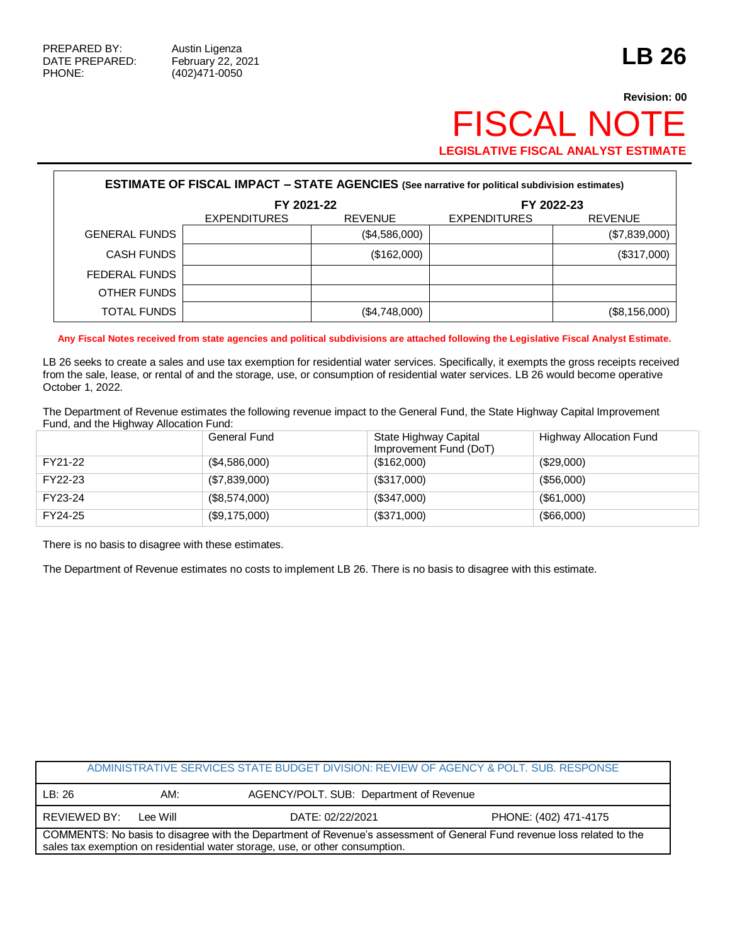Г

## **Revision: 00** FISCAL NOTE **LEGISLATIVE FISCAL ANALYST ESTIMATE**

| <b>ESTIMATE OF FISCAL IMPACT - STATE AGENCIES</b> (See narrative for political subdivision estimates) |                     |                |                     |                |  |  |
|-------------------------------------------------------------------------------------------------------|---------------------|----------------|---------------------|----------------|--|--|
|                                                                                                       | FY 2021-22          |                |                     | FY 2022-23     |  |  |
|                                                                                                       | <b>EXPENDITURES</b> | <b>REVENUE</b> | <b>EXPENDITURES</b> | <b>REVENUE</b> |  |  |
| <b>GENERAL FUNDS</b>                                                                                  |                     | (\$4,586,000)  |                     | (\$7,839,000)  |  |  |
| CASH FUNDS                                                                                            |                     | (\$162,000)    |                     | (\$317,000)    |  |  |
| FEDERAL FUNDS                                                                                         |                     |                |                     |                |  |  |
| OTHER FUNDS                                                                                           |                     |                |                     |                |  |  |
| TOTAL FUNDS                                                                                           |                     | (\$4,748,000)  |                     | (\$8,156,000)  |  |  |

**Any Fiscal Notes received from state agencies and political subdivisions are attached following the Legislative Fiscal Analyst Estimate.**

LB 26 seeks to create a sales and use tax exemption for residential water services. Specifically, it exempts the gross receipts received from the sale, lease, or rental of and the storage, use, or consumption of residential water services. LB 26 would become operative October 1, 2022.

The Department of Revenue estimates the following revenue impact to the General Fund, the State Highway Capital Improvement Fund, and the Highway Allocation Fund:

|         | General Fund  | State Highway Capital<br>Improvement Fund (DoT) | Highway Allocation Fund |
|---------|---------------|-------------------------------------------------|-------------------------|
| FY21-22 | (\$4,586,000) | (\$162,000)                                     | (\$29,000)              |
| FY22-23 | (\$7,839,000) | (\$317,000)                                     | (\$56,000)              |
| FY23-24 | (\$8,574,000) | (\$347,000)                                     | (\$61,000)              |
| FY24-25 | (\$9,175,000) | (\$371,000)                                     | (\$66,000)              |

There is no basis to disagree with these estimates.

The Department of Revenue estimates no costs to implement LB 26. There is no basis to disagree with this estimate.

| ADMINISTRATIVE SERVICES STATE BUDGET DIVISION: REVIEW OF AGENCY & POLT. SUB. RESPONSE                                                                                                                  |          |                                         |                       |  |  |
|--------------------------------------------------------------------------------------------------------------------------------------------------------------------------------------------------------|----------|-----------------------------------------|-----------------------|--|--|
| LB: 26                                                                                                                                                                                                 | AM:      | AGENCY/POLT. SUB: Department of Revenue |                       |  |  |
| REVIEWED BY:                                                                                                                                                                                           | Lee Will | DATE: 02/22/2021                        | PHONE: (402) 471-4175 |  |  |
| COMMENTS: No basis to disagree with the Department of Revenue's assessment of General Fund revenue loss related to the<br>sales tax exemption on residential water storage, use, or other consumption. |          |                                         |                       |  |  |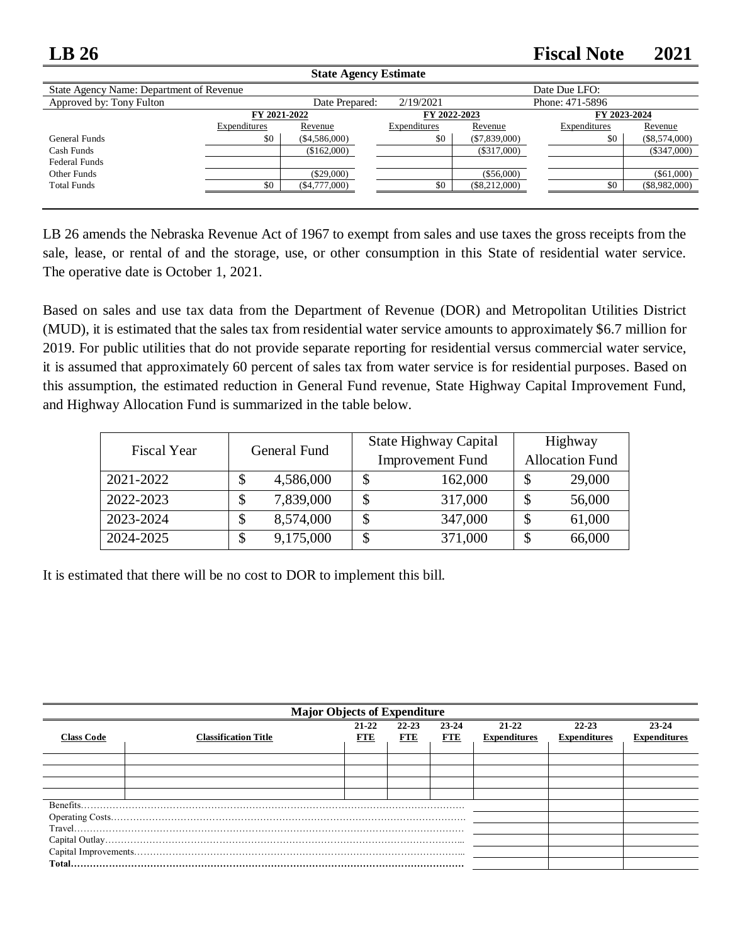## **LB 26 Fiscal Note 2021**

| <b>State Agency Estimate</b>             |              |                 |                              |                 |               |                 |  |
|------------------------------------------|--------------|-----------------|------------------------------|-----------------|---------------|-----------------|--|
| State Agency Name: Department of Revenue |              |                 |                              |                 | Date Due LFO: |                 |  |
| Approved by: Tony Fulton                 |              | Date Prepared:  | 2/19/2021<br>Phone: 471-5896 |                 |               |                 |  |
|                                          | FY 2021-2022 |                 | FY 2022-2023                 |                 | FY 2023-2024  |                 |  |
|                                          | Expenditures | Revenue         | Expenditures                 | Revenue         | Expenditures  | Revenue         |  |
| General Funds                            | \$0          | $(\$4,586,000)$ | \$0                          | $(\$7,839,000)$ | \$0           | $(\$8,574,000)$ |  |
| Cash Funds                               |              | (\$162,000)     |                              | $(\$317,000)$   |               | $(\$347,000)$   |  |
| <b>Federal Funds</b>                     |              |                 |                              |                 |               |                 |  |
| Other Funds                              |              | $(\$29,000)$    |                              | (\$56,000)      |               | $(\$61,000)$    |  |
| <b>Total Funds</b>                       | \$0          | $(\$4,777,000)$ | \$0                          | $(\$8,212,000)$ | \$0           | $(\$8,982,000)$ |  |
|                                          |              |                 |                              |                 |               |                 |  |

LB 26 amends the Nebraska Revenue Act of 1967 to exempt from sales and use taxes the gross receipts from the sale, lease, or rental of and the storage, use, or other consumption in this State of residential water service. The operative date is October 1, 2021.

Based on sales and use tax data from the Department of Revenue (DOR) and Metropolitan Utilities District (MUD), it is estimated that the sales tax from residential water service amounts to approximately \$6.7 million for 2019. For public utilities that do not provide separate reporting for residential versus commercial water service, it is assumed that approximately 60 percent of sales tax from water service is for residential purposes. Based on this assumption, the estimated reduction in General Fund revenue, State Highway Capital Improvement Fund, and Highway Allocation Fund is summarized in the table below.

| <b>Fiscal Year</b> | General Fund    | <b>State Highway Capital</b> | Highway                 |  |
|--------------------|-----------------|------------------------------|-------------------------|--|
|                    |                 | <b>Improvement Fund</b>      | <b>Allocation Fund</b>  |  |
| 2021-2022          | 4,586,000<br>\$ | 162,000                      | 29,000                  |  |
| 2022-2023          | 7,839,000<br>\$ | 317,000                      | 56,000<br>$\mathcal{S}$ |  |
| 2023-2024          | 8,574,000<br>\$ | 347,000                      | 61,000<br>\$            |  |
| 2024-2025          | 9,175,000<br>\$ | 371,000                      | 66,000<br>\$            |  |

It is estimated that there will be no cost to DOR to implement this bill.

| <b>Major Objects of Expenditure</b> |                             |                         |                         |                     |                              |                              |                              |
|-------------------------------------|-----------------------------|-------------------------|-------------------------|---------------------|------------------------------|------------------------------|------------------------------|
| <b>Class Code</b>                   | <b>Classification Title</b> | $21 - 22$<br><b>FTE</b> | $22 - 23$<br><b>FTE</b> | 23-24<br><b>FTE</b> | 21-22<br><b>Expenditures</b> | 22-23<br><b>Expenditures</b> | 23-24<br><b>Expenditures</b> |
|                                     |                             |                         |                         |                     |                              |                              |                              |
|                                     |                             |                         |                         |                     |                              |                              |                              |
|                                     |                             |                         |                         |                     |                              |                              |                              |
|                                     |                             |                         |                         |                     |                              |                              |                              |
| Benefits                            |                             |                         |                         |                     |                              |                              |                              |
|                                     |                             |                         |                         |                     |                              |                              |                              |
|                                     |                             |                         |                         |                     |                              |                              |                              |
|                                     |                             |                         |                         |                     |                              |                              |                              |
|                                     |                             |                         |                         |                     |                              |                              |                              |
| <b>Total</b>                        |                             |                         |                         |                     |                              |                              |                              |